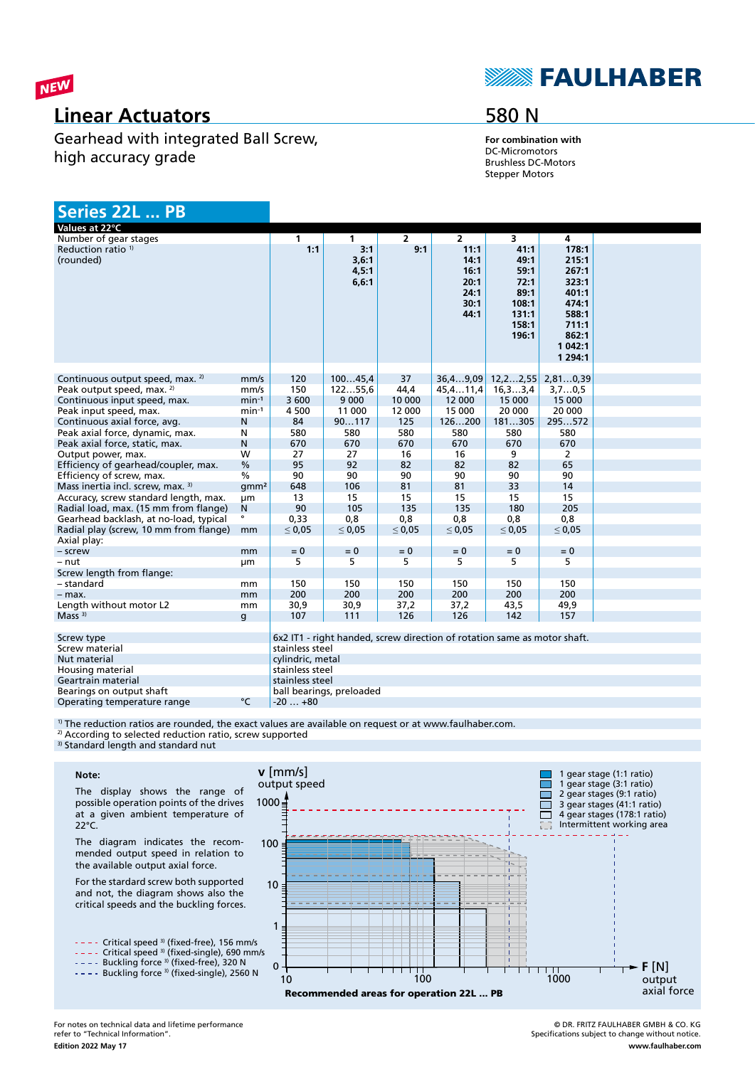

## **Linear Actuators**

Gearhead with integrated Ball Screw, high accuracy grade

# **SEAULHABER**

## 580 N

**For combination with** DC-Micromotors Brushless DC-Motors Stepper Motors

| Series 22L  PB                                        |                  |                  |                                 |                |                                                                          |                                                                          |                                                                                                       |  |
|-------------------------------------------------------|------------------|------------------|---------------------------------|----------------|--------------------------------------------------------------------------|--------------------------------------------------------------------------|-------------------------------------------------------------------------------------------------------|--|
| Values at 22°C                                        |                  |                  |                                 |                |                                                                          |                                                                          |                                                                                                       |  |
| Number of gear stages                                 |                  | $\mathbf{1}$     | 1                               | $\overline{2}$ | $\overline{2}$                                                           | 3                                                                        | 4                                                                                                     |  |
| Reduction ratio <sup>1)</sup><br>(rounded)            |                  | 1:1              | 3:1<br>3,6:1<br>4,5:1<br>6, 6:1 | 9:1            | 11:1<br>14:1<br>16:1<br>20:1<br>24:1<br>30:1<br>44:1                     | 41:1<br>49:1<br>59:1<br>72:1<br>89:1<br>108:1<br>131:1<br>158:1<br>196:1 | 178:1<br>215:1<br>267:1<br>323:1<br>401:1<br>474:1<br>588:1<br>711:1<br>862:1<br>1 042:1<br>1 2 9 4:1 |  |
| Continuous output speed, max. <sup>2)</sup>           | mm/s             | 120              | 10045,4                         | 37             | 36,49,09                                                                 | 12, 22, 55                                                               | 2,810,39                                                                                              |  |
| Peak output speed, max. <sup>2)</sup>                 | mm/s             | 150              | 12255,6                         | 44,4           | 45, 411, 4                                                               | 16, 33, 4                                                                | 3,70,5                                                                                                |  |
| Continuous input speed, max.                          | $min-1$          | 3 600            | 9 0 0 0                         | 10 000         | 12 000                                                                   | 15 000                                                                   | 15 000                                                                                                |  |
| Peak input speed, max.                                | $min-1$          | 4 500            | 11 000                          | 12 000         | 15 000                                                                   | 20 000                                                                   | 20 000                                                                                                |  |
| Continuous axial force, avg.                          | N                | 84               | 90117                           | 125            | 126200                                                                   | 181305                                                                   | 295572                                                                                                |  |
| Peak axial force, dynamic, max.                       | N                | 580              | 580                             | 580            | 580                                                                      | 580                                                                      | 580                                                                                                   |  |
| Peak axial force, static, max.                        | N                | 670              | 670                             | 670            | 670                                                                      | 670                                                                      | 670                                                                                                   |  |
| Output power, max.                                    | w                | 27               | 27                              | 16             | 16                                                                       | 9                                                                        | 2                                                                                                     |  |
| Efficiency of gearhead/coupler, max.                  | $\frac{0}{0}$    | 95               | 92                              | 82             | 82                                                                       | 82                                                                       | 65                                                                                                    |  |
| Efficiency of screw, max.                             | $\frac{0}{0}$    | 90               | 90                              | 90             | 90                                                                       | 90                                                                       | 90                                                                                                    |  |
| Mass inertia incl. screw, max. 3)                     | qmm <sup>2</sup> | 648              | 106                             | 81             | 81                                                                       | 33                                                                       | 14                                                                                                    |  |
| Accuracy, screw standard length, max.                 | um               | 13               | 15                              | 15             | 15                                                                       | 15                                                                       | 15                                                                                                    |  |
| Radial load, max. (15 mm from flange)                 | N                | 90               | 105                             | 135            | 135                                                                      | 180                                                                      | 205                                                                                                   |  |
| Gearhead backlash, at no-load, typical                | $\bullet$        | 0.33             | 0.8                             | 0.8            | 0.8                                                                      | 0.8                                                                      | 0.8                                                                                                   |  |
| Radial play (screw, 10 mm from flange)<br>Axial play: | mm               | $\leq 0.05$      | $\leq 0.05$                     | $\leq 0.05$    | $\leq 0.05$                                                              | $\leq 0.05$                                                              | $\leq 0.05$                                                                                           |  |
| - screw                                               | mm               | $= 0$            | $= 0$                           | $= 0$          | $= 0$                                                                    | $= 0$                                                                    | $= 0$                                                                                                 |  |
| – nut                                                 | μm               | 5                | 5                               | 5              | 5                                                                        | 5                                                                        | 5                                                                                                     |  |
| Screw length from flange:                             |                  |                  |                                 |                |                                                                          |                                                                          |                                                                                                       |  |
| - standard                                            | mm               | 150              | 150                             | 150            | 150                                                                      | 150                                                                      | 150                                                                                                   |  |
| $-$ max.                                              | mm               | 200              | 200                             | 200            | 200                                                                      | 200                                                                      | 200                                                                                                   |  |
| Length without motor L2                               | mm               | 30,9             | 30,9                            | 37,2           | 37,2                                                                     | 43,5                                                                     | 49,9                                                                                                  |  |
| Mass <sup>3</sup>                                     | g                | 107              | 111                             | 126            | 126                                                                      | 142                                                                      | 157                                                                                                   |  |
| Screw type                                            |                  |                  |                                 |                | 6x2 IT1 - right handed, screw direction of rotation same as motor shaft. |                                                                          |                                                                                                       |  |
| Screw material                                        |                  | stainless steel  |                                 |                |                                                                          |                                                                          |                                                                                                       |  |
| Nut material                                          |                  | cylindric, metal |                                 |                |                                                                          |                                                                          |                                                                                                       |  |
| Housing material                                      |                  | stainless steel  |                                 |                |                                                                          |                                                                          |                                                                                                       |  |
| Geartrain material                                    |                  | stainless steel  |                                 |                |                                                                          |                                                                          |                                                                                                       |  |
| Bearings on output shaft                              |                  |                  | ball bearings, preloaded        |                |                                                                          |                                                                          |                                                                                                       |  |
| Operating temperature range                           | °C               | $-20+80$         |                                 |                |                                                                          |                                                                          |                                                                                                       |  |

<sup>1)</sup> The reduction ratios are rounded, the exact values are available on request or at www.faulhaber.com.

<sup>2)</sup> According to selected reduction ratio, screw supported <sup>3)</sup> Standard length and standard nut

#### **Note:**

The display shows the range of possible operation points of the drives at a given ambient temperature of 22°C.

The diagram indicates the recommended output speed in relation to the available output axial force.

For the stardard screw both supported and not, the diagram shows also the critical speeds and the buckling forces.



Critical speed 3) (fixed-single), 690 mm/s

Buckling force <sup>3)</sup> (fixed-free), 320 N





© DR. FRITZ FAULHABER GMBH & CO. KG Specifications subject to change without notice. **www.faulhaber.com**